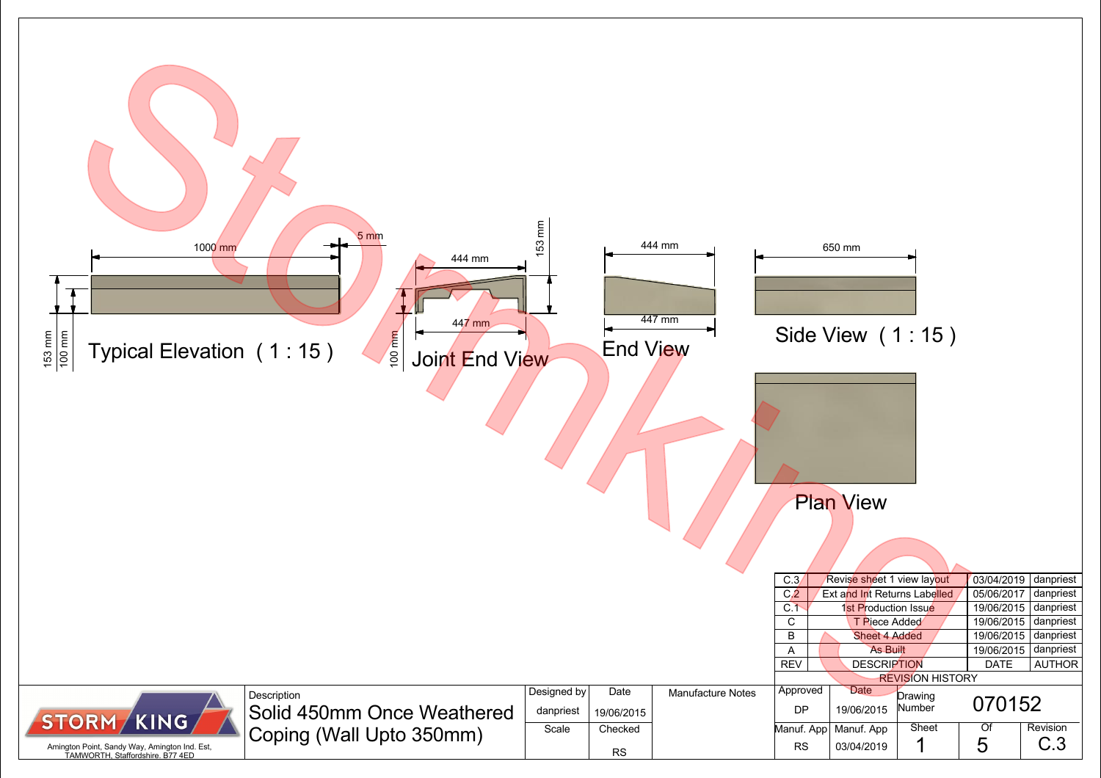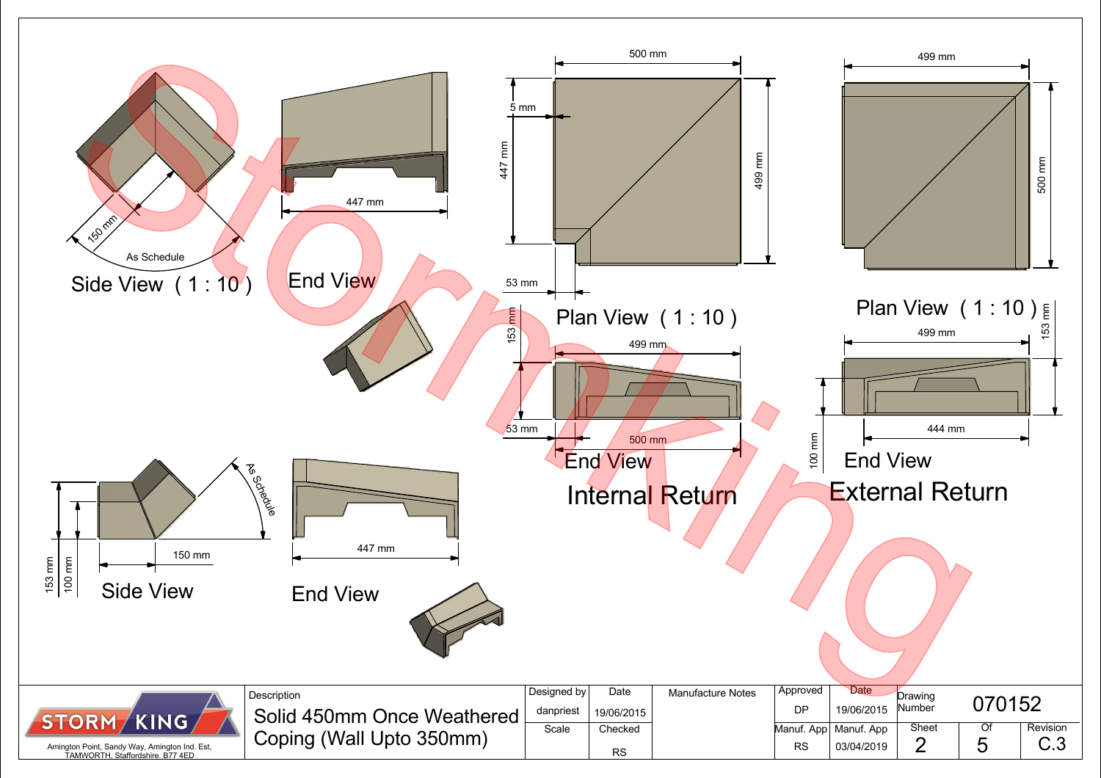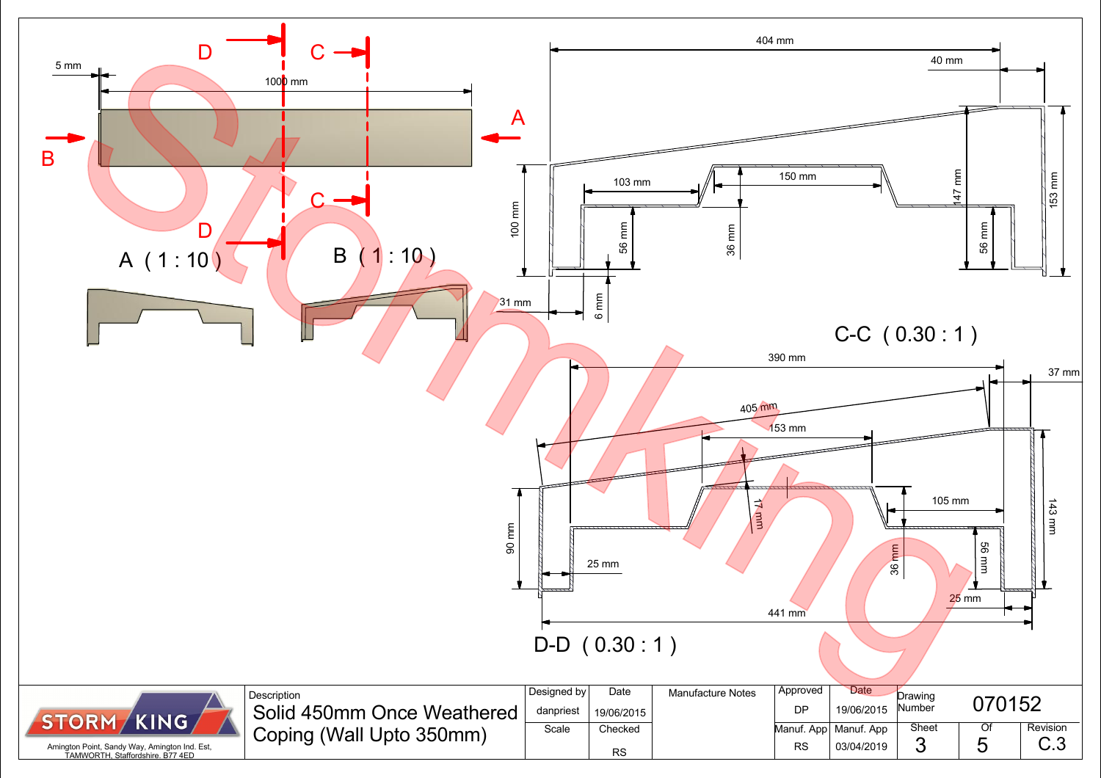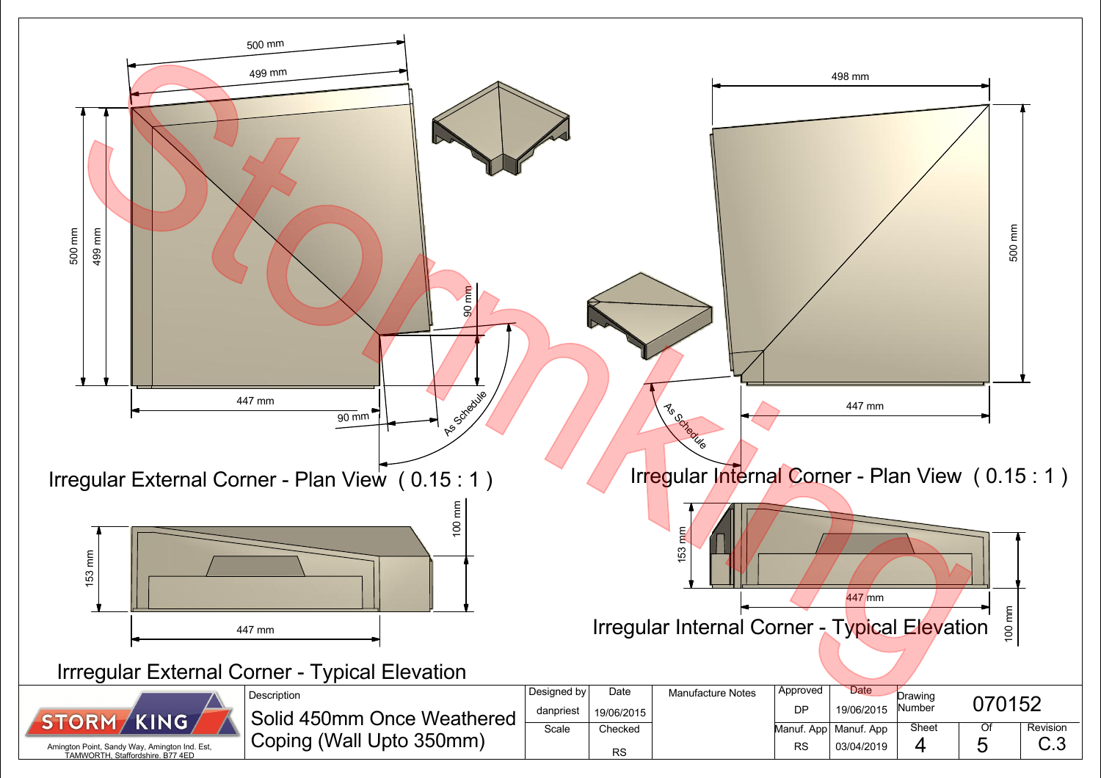